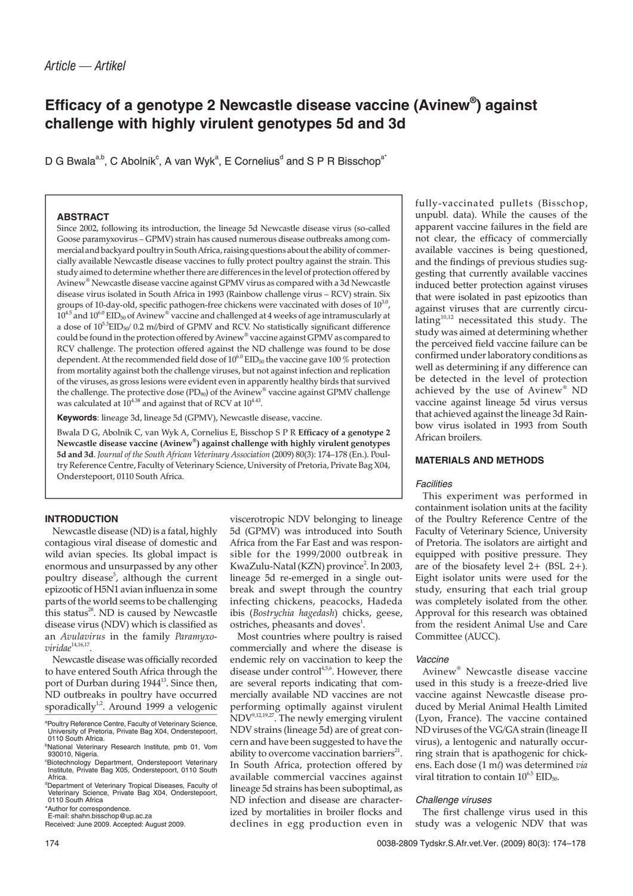# **Efficacy of a genotype 2 Newcastle disease vaccine (Avinew® ) against challenge with highly virulent genotypes 5d and 3d**

D G Bwala<sup>a,b</sup>, C Abolnik<sup>c</sup>, A van Wyk<sup>a</sup>, E Cornelius<sup>d</sup> and S P R Bisschop<sup>a\*</sup>

## **ABSTRACT**

Since 2002, following its introduction, the lineage 5d Newcastle disease virus (so-called Goose paramyxovirus – GPMV) strain has caused numerous disease outbreaks among commercial and backyard poultry in South Africa, raising questions about the ability of commercially available Newcastle disease vaccines to fully protect poultry against the strain. This study aimed to determine whether there are differences in the level of protection offered by Avinew® Newcastle disease vaccine against GPMV virus as compared with a 3d Newcastle disease virus isolated in South Africa in 1993 (Rainbow challenge virus – RCV) strain. Six groups of 10-day-old, specific pathogen-free chickens were vaccinated with doses of  $10^{3}$ .  $10^{4.5}$  and  $10^{6.0}$  EID<sub>50</sub> of Avinew® vaccine and challenged at 4 weeks of age intramuscularly at a dose of  $10^{5.3}$ EID<sub>50</sub>/ 0.2 m//bird of GPMV and RCV. No statistically significant difference could be found in the protection offered by Avinew® vaccine against GPMV as compared to RCV challenge. The protection offered against the ND challenge was found to be dose dependent. At the recommended field dose of  $10^{6.0}$  EID<sub>50</sub> the vaccine gave 100 % protection from mortality against both the challenge viruses, but not against infection and replication of the viruses, as gross lesions were evident even in apparently healthy birds that survived the challenge. The protective dose  $(PD_{90})$  of the Avinew<sup>®</sup> vaccine against GPMV challenge was calculated at  $10^{4.38}$  and against that of RCV at  $10^{4.43}$ .

**Keywords**: lineage 3d, lineage 5d (GPMV), Newcastle disease, vaccine.

Bwala D G, Abolnik C, van Wyk A, Cornelius E, Bisschop S P R **Efficacy of a genotype 2 Newcastle disease vaccine (Avinew®) against challenge with highly virulent genotypes 5d and 3d**. *Journal of the South African Veterinary Association* (2009) 80(3): 174–178 (En.). Poultry Reference Centre, Faculty of Veterinary Science, University of Pretoria, Private Bag X04, Onderstepoort, 0110 South Africa.

## **INTRODUCTION**

Newcastle disease (ND) is a fatal, highly contagious viral disease of domestic and wild avian species. Its global impact is enormous and unsurpassed by any other poultry disease<sup>5</sup>, although the current epizootic of H5N1 avian influenza in some parts of the world seems to be challenging this status $^{28}$ . ND is caused by Newcastle disease virus (NDV) which is classified as an *Avulavirus* in the family *Paramyxoviridae*<sup>14,16,17</sup>

Newcastle disease was officially recorded to have entered South Africa through the port of Durban during 1944<sup>13</sup>. Since then, ND outbreaks in poultry have occurred sporadically<sup>1,2</sup>. Around 1999 a velogenic

Received: June 2009. Accepted: August 2009.

viscerotropic NDV belonging to lineage 5d (GPMV) was introduced into South Africa from the Far East and was responsible for the 1999/2000 outbreak in KwaZulu-Natal (KZN) province<sup>2</sup>. In 2003, lineage 5d re-emerged in a single outbreak and swept through the country infecting chickens, peacocks, Hadeda ibis (*Bostrychia hagedash*) chicks, geese, ostriches, pheasants and doves<sup>1</sup>.

Most countries where poultry is raised commercially and where the disease is endemic rely on vaccination to keep the disease under control<sup>4,5,6</sup>. However, there are several reports indicating that commercially available ND vaccines are not performing optimally against virulent NDV<sup>9,12,19,27</sup>. The newly emerging virulent NDV strains (lineage 5d) are of great concern and have been suggested to have the ability to overcome vaccination barriers $21$ . In South Africa, protection offered by available commercial vaccines against lineage 5d strains has been suboptimal, as ND infection and disease are characterized by mortalities in broiler flocks and declines in egg production even in

fully-vaccinated pullets (Bisschop, unpubl. data). While the causes of the apparent vaccine failures in the field are not clear, the efficacy of commercially available vaccines is being questioned, and the findings of previous studies suggesting that currently available vaccines induced better protection against viruses that were isolated in past epizootics than against viruses that are currently circulating<sup>10,12</sup> necessitated this study. The study was aimed at determining whether the perceived field vaccine failure can be confirmed under laboratory conditions as well as determining if any difference can be detected in the level of protection achieved by the use of Avinew® ND vaccine against lineage 5d virus versus that achieved against the lineage 3d Rainbow virus isolated in 1993 from South African broilers.

## **MATERIALS AND METHODS**

#### **Facilities**

This experiment was performed in containment isolation units at the facility of the Poultry Reference Centre of the Faculty of Veterinary Science, University of Pretoria. The isolators are airtight and equipped with positive pressure. They are of the biosafety level  $2+$  (BSL  $2+$ ). Eight isolator units were used for the study, ensuring that each trial group was completely isolated from the other. Approval for this research was obtained from the resident Animal Use and Care Committee (AUCC).

#### Vaccine

Avinew® Newcastle disease vaccine used in this study is a freeze-dried live vaccine against Newcastle disease produced by Merial Animal Health Limited (Lyon, France). The vaccine contained ND viruses of the VG/GA strain (lineage II virus), a lentogenic and naturally occurring strain that is apathogenic for chickens. Each dose (1 ml) was determined *via* viral titration to contain  $10^{6.5}$  EID<sub>50</sub>.

## Challenge viruses

The first challenge virus used in this study was a velogenic NDV that was

a Poultry Reference Centre, Faculty of Veterinary Science, University of Pretoria, Private Bag X04, Onderstepoort, 0110 South Africa.

<sup>&</sup>lt;sup>b</sup>National Veterinary Research Institute, pmb 01, Vom 930010, Nigeria.

c Biotechnology Department, Onderstepoort Veterinary Institute, Private Bag X05, Onderstepoort, 0110 South Africa.

<sup>&</sup>lt;sup>d</sup>Department of Veterinary Tropical Diseases, Faculty of Veterinary Science, Private Bag X04, Onderstepoort, 0110 South Africa

<sup>\*</sup>Author for correspondence. E-mail: shahn.bisschop@up.ac.za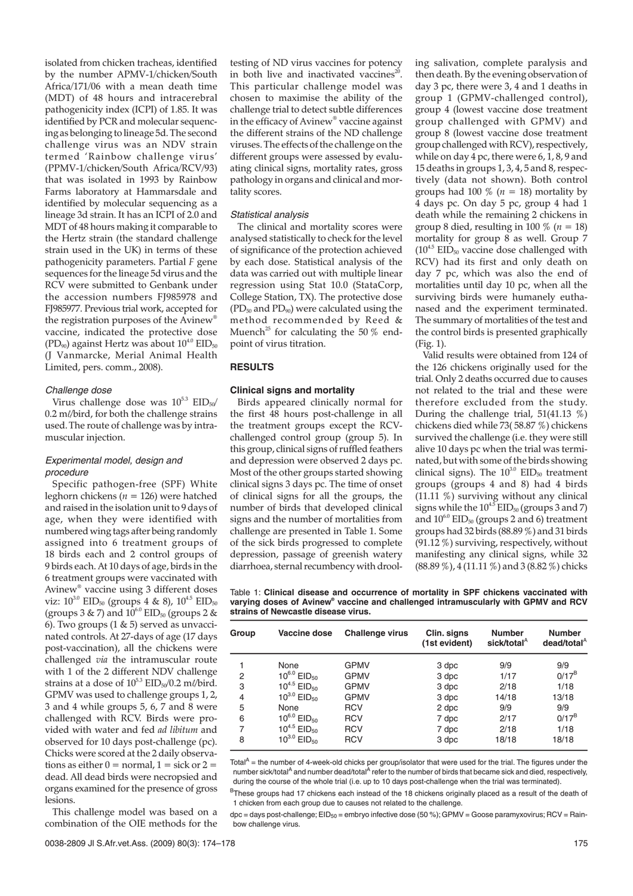isolated from chicken tracheas, identified by the number APMV-1/chicken/South Africa/171/06 with a mean death time (MDT) of 48 hours and intracerebral pathogenicity index (ICPI) of 1.85. It was identified by PCR and molecular sequencing as belonging to lineage 5d. The second challenge virus was an NDV strain termed 'Rainbow challenge virus' (PPMV-1/chicken/South Africa/RCV/93) that was isolated in 1993 by Rainbow Farms laboratory at Hammarsdale and identified by molecular sequencing as a lineage 3d strain. It has an ICPI of 2.0 and MDT of 48 hours making it comparable to the Hertz strain (the standard challenge strain used in the UK) in terms of these pathogenicity parameters. Partial *F* gene sequences for the lineage 5d virus and the RCV were submitted to Genbank under the accession numbers FJ985978 and FJ985977. Previous trial work, accepted for the registration purposes of the Avinew® vaccine, indicated the protective dose (PD<sub>90</sub>) against Hertz was about  $10^{4.0}$  EID<sub>50</sub> (J Vanmarcke, Merial Animal Health Limited, pers. comm., 2008).

#### Challenge dose

Virus challenge dose was  $10^{5.3}$   $EID<sub>50</sub>$  $0.2$  m $\ell$ bird, for both the challenge strains used. The route of challenge was by intramuscular injection.

# Experimental model, design and procedure

Specific pathogen-free (SPF) White leghorn chickens (*n* = 126) were hatched and raised in the isolation unit to 9 days of age, when they were identified with numbered wing tags after being randomly assigned into 6 treatment groups of 18 birds each and 2 control groups of 9 birds each. At 10 days of age, birds in the 6 treatment groups were vaccinated with Avinew® vaccine using 3 different doses viz:  $10^{3.0}$  EID<sub>50</sub> (groups 4 & 8),  $10^{4.5}$  EID<sub>50</sub> (groups 3 & 7) and  $10^{6.0}$  EID<sub>50</sub> (groups 2 & 6). Two groups  $(1 \& 5)$  served as unvaccinated controls. At 27-days of age (17 days post-vaccination), all the chickens were challenged *via* the intramuscular route with 1 of the 2 different NDV challenge strains at a dose of  $10^{5.3}$  EID<sub>50</sub> $/0.2$  m $\ell$ /bird. GPMV was used to challenge groups 1, 2, 3 and 4 while groups 5, 6, 7 and 8 were challenged with RCV. Birds were provided with water and fed *ad libitum* and observed for 10 days post-challenge (pc). Chicks were scored at the 2 daily observations as either  $0 = normal$ ,  $1 = sick$  or  $2 =$ dead. All dead birds were necropsied and organs examined for the presence of gross lesions.

This challenge model was based on a combination of the OIE methods for the

Muench<sup>25</sup> for calculating the 50  $\%$  endpoint of virus titration. **RESULTS Clinical signs and mortality** Birds appeared clinically normal for

tality scores.

Statistical analysis

the first 48 hours post-challenge in all the treatment groups except the RCVchallenged control group (group 5). In this group, clinical signs of ruffled feathers and depression were observed 2 days pc. Most of the other groups started showing clinical signs 3 days pc. The time of onset of clinical signs for all the groups, the number of birds that developed clinical signs and the number of mortalities from challenge are presented in Table 1. Some of the sick birds progressed to complete depression, passage of greenish watery diarrhoea, sternal recumbency with drool-

testing of ND virus vaccines for potency in both live and inactivated vaccines<sup>20</sup>. This particular challenge model was chosen to maximise the ability of the challenge trial to detect subtle differences in the efficacy of Avinew® vaccine against the different strains of the ND challenge viruses. The effects of the challenge on the different groups were assessed by evaluating clinical signs, mortality rates, gross pathology in organs and clinical and mor-

The clinical and mortality scores were analysed statistically to check for the level of significance of the protection achieved by each dose. Statistical analysis of the data was carried out with multiple linear regression using Stat 10.0 (StataCorp, College Station, TX). The protective dose  $(PD_{50}$  and  $PD_{90}$ ) were calculated using the method recommended by Reed & ing salivation, complete paralysis and then death. By the evening observation of day 3 pc, there were 3, 4 and 1 deaths in group 1 (GPMV-challenged control), group 4 (lowest vaccine dose treatment group challenged with GPMV) and group 8 (lowest vaccine dose treatment group challenged with RCV), respectively, while on day  $4$  pc, there were 6, 1, 8, 9 and 15 deaths in groups 1, 3, 4, 5 and 8, respectively (data not shown). Both control groups had 100  $\%$  ( $n = 18$ ) mortality by 4 days pc. On day 5 pc, group 4 had 1 death while the remaining 2 chickens in group 8 died, resulting in 100 % (*n* = 18) mortality for group 8 as well. Group 7  $(10^{4.5}$  EID<sub>50</sub> vaccine dose challenged with RCV) had its first and only death on day 7 pc, which was also the end of mortalities until day 10 pc, when all the surviving birds were humanely euthanased and the experiment terminated. The summary of mortalities of the test and the control birds is presented graphically (Fig. 1).

Valid results were obtained from 124 of the 126 chickens originally used for the trial. Only 2 deaths occurred due to causes not related to the trial and these were therefore excluded from the study. During the challenge trial,  $51(41.13 \%)$ chickens died while 73( 58.87 %) chickens survived the challenge (i.e. they were still alive 10 days pc when the trial was terminated, but with some of the birds showing clinical signs). The  $10^{3.0}$  EID<sub>50</sub> treatment groups (groups 4 and 8) had 4 birds  $(11.11 \%)$  surviving without any clinical signs while the  $10^{4.5}$  EID<sub>50</sub> (groups 3 and 7) and  $10^{6.0}$  EID<sub>50</sub> (groups 2 and 6) treatment groups had 32 birds (88.89 %) and 31 birds  $(91.12\%)$  surviving, respectively, without manifesting any clinical signs, while 32 (88.89 %), 4 (11.11 %) and 3 (8.82 %) chicks

Table 1: **Clinical disease and occurrence of mortality in SPF chickens vaccinated with varying doses of Avinew® vaccine and challenged intramuscularly with GPMV and RCV strains of Newcastle disease virus.**

| Group | Vaccine dose                 | <b>Challenge virus</b> | Clin. signs<br>(1st evident) | <b>Number</b><br>sick/total $^A$ | <b>Number</b><br>dead/total <sup>A</sup> |
|-------|------------------------------|------------------------|------------------------------|----------------------------------|------------------------------------------|
|       | None                         | <b>GPMV</b>            | 3 dpc                        | 9/9                              | 9/9                                      |
| 2     | $10^{6.0}$ EID <sub>50</sub> | <b>GPMV</b>            | 3 dpc                        | 1/17                             | $0/17^B$                                 |
| 3     | $10^{4.5}$ EID <sub>50</sub> | <b>GPMV</b>            | 3 dpc                        | 2/18                             | 1/18                                     |
| 4     | $10^{3.0}$ EID <sub>50</sub> | <b>GPMV</b>            | 3 dpc                        | 14/18                            | 13/18                                    |
| 5     | None                         | <b>RCV</b>             | 2 dpc                        | 9/9                              | 9/9                                      |
| 6     | $10^{6.0}$ EID <sub>50</sub> | <b>RCV</b>             | 7 dpc                        | 2/17                             | $0/17^B$                                 |
| 7     | $10^{4.5}$ EID <sub>50</sub> | <b>RCV</b>             | 7 dpc                        | 2/18                             | 1/18                                     |
| 8     | $10^{3.0}$ EID <sub>50</sub> | <b>RCV</b>             | 3 dpc                        | 18/18                            | 18/18                                    |

Total $^A$  = the number of 4-week-old chicks per group/isolator that were used for the trial. The figures under the number sick/total<sup>A</sup> and number dead/total<sup>A</sup> refer to the number of birds that became sick and died, respectively, during the course of the whole trial (i.e. up to 10 days post-challenge when the trial was terminated).

<sup>B</sup>These groups had 17 chickens each instead of the 18 chickens originally placed as a result of the death of 1 chicken from each group due to causes not related to the challenge.

dpc = days post-challenge; EID<sub>50</sub> = embryo infective dose (50 %); GPMV = Goose paramyxovirus; RCV = Rainbow challenge virus.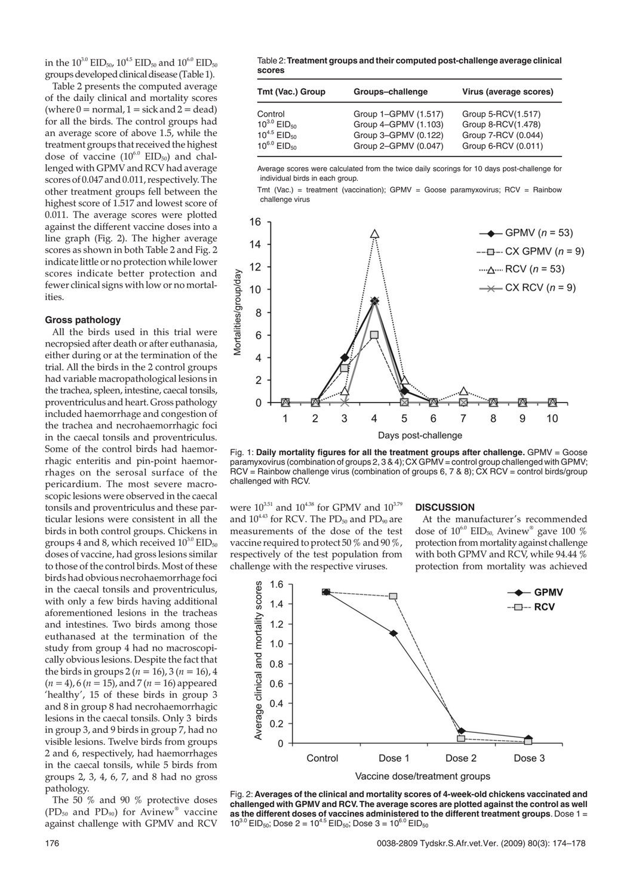in the  $10^{3.0}$  EID<sub>50</sub>,  $10^{4.5}$  EID<sub>50</sub> and  $10^{6.0}$  EID<sub>50</sub> groups developed clinical disease (Table 1).

Table 2 presents the computed average of the daily clinical and mortality scores (where  $0 =$  normal,  $1 =$  sick and  $2 =$  dead) for all the birds. The control groups had an average score of above 1.5, while the treatment groups that received the highest dose of vaccine  $(10^{6.0}$  EID<sub>50</sub>) and challenged with GPMV and RCV had average scores of 0.047 and 0.011, respectively. The other treatment groups fell between the highest score of 1.517 and lowest score of 0.011. The average scores were plotted against the different vaccine doses into a line graph (Fig. 2). The higher average scores as shown in both Table 2 and Fig. 2 indicate little or no protection while lower scores indicate better protection and fewer clinical signs with low or no mortalities.

#### **Gross pathology**

All the birds used in this trial were necropsied after death or after euthanasia, either during or at the termination of the trial. All the birds in the 2 control groups had variable macropathological lesions in the trachea, spleen, intestine, caecal tonsils, proventriculus and heart. Gross pathology included haemorrhage and congestion of the trachea and necrohaemorrhagic foci in the caecal tonsils and proventriculus. Some of the control birds had haemorrhagic enteritis and pin-point haemorrhages on the serosal surface of the pericardium. The most severe macroscopic lesions were observed in the caecal tonsils and proventriculus and these particular lesions were consistent in all the birds in both control groups. Chickens in groups 4 and 8, which received  $10^{3.0}$  EID<sub>50</sub> doses of vaccine, had gross lesions similar to those of the control birds. Most of these birds had obvious necrohaemorrhage foci in the caecal tonsils and proventriculus, with only a few birds having additional aforementioned lesions in the tracheas and intestines. Two birds among those euthanased at the termination of the study from group 4 had no macroscopically obvious lesions. Despite the fact that the birds in groups  $2 (n = 16)$ ,  $3 (n = 16)$ ,  $4$ (*n* = 4), 6 (*n* = 15), and 7 (*n* = 16) appeared 'healthy', 15 of these birds in group 3 and 8 in group 8 had necrohaemorrhagic lesions in the caecal tonsils. Only 3 birds in group 3, and 9 birds in group 7, had no visible lesions. Twelve birds from groups 2 and 6, respectively, had haemorrhages in the caecal tonsils, while 5 birds from groups 2, 3, 4, 6, 7, and 8 had no gross pathology.

The 50 % and 90 % protective doses  $(PD_{50}$  and  $PD_{90}$ ) for Avinew<sup>®</sup> vaccine against challenge with GPMV and RCV

Table 2:**Treatment groups and their computed post-challenge average clinical scores**

| Tmt (Vac.) Group             | Groups-challenge     | Virus (average scores) |
|------------------------------|----------------------|------------------------|
| Control                      | Group 1-GPMV (1.517) | Group 5-RCV(1.517)     |
| $10^{3.0}$ EID <sub>50</sub> | Group 4-GPMV (1.103) | Group 8-RCV(1.478)     |
| $10^{4.5}$ EID <sub>50</sub> | Group 3-GPMV (0.122) | Group 7-RCV (0.044)    |
| $10^{6.0}$ EID <sub>50</sub> | Group 2-GPMV (0.047) | Group 6-RCV (0.011)    |

Average scores were calculated from the twice daily scorings for 10 days post-challenge for individual birds in each group.

Tmt (Vac.) = treatment (vaccination);  $GPMV = Goose$  paramyxovirus;  $RCV =$  Rainbow challenge virus



Fig. 1: **Daily mortality figures for all the treatment groups after challenge.** GPMV = Goose paramyxovirus (combination of groups 2, 3 & 4);CX GPMV = control group challenged with GPMV; RCV = Rainbow challenge virus (combination of groups 6, 7 & 8); CX RCV = control birds/group challenged with RCV.

were  $10^{3.51}$  and  $10^{4.38}$  for GPMV and  $10^{3.79}$ and  $10^{4.43}$  for RCV. The PD<sub>50</sub> and PD<sub>90</sub> are measurements of the dose of the test vaccine required to protect 50 % and 90 %, respectively of the test population from challenge with the respective viruses.

## **DISCUSSION**

At the manufacturer's recommended dose of  $10^{6.0}$   $\rm EID_{50}$  Avinew® gave 100  $\%$ protection from mortality against challenge with both GPMV and RCV, while 94.44 % protection from mortality was achieved



Fig. 2: **Averages of the clinical and mortality scores of 4-week-old chickens vaccinated and challenged with GPMV and RCV. The average scores are plotted against the control as well as the different doses of vaccines administered to the different treatment groups**. Dose 1 =  $10^{3.0}$  EID<sub>50</sub>; Dose 2 = 10<sup>4.5</sup> EID<sub>50</sub>; Dose 3 = 10<sup>6.0</sup> EID<sub>50</sub>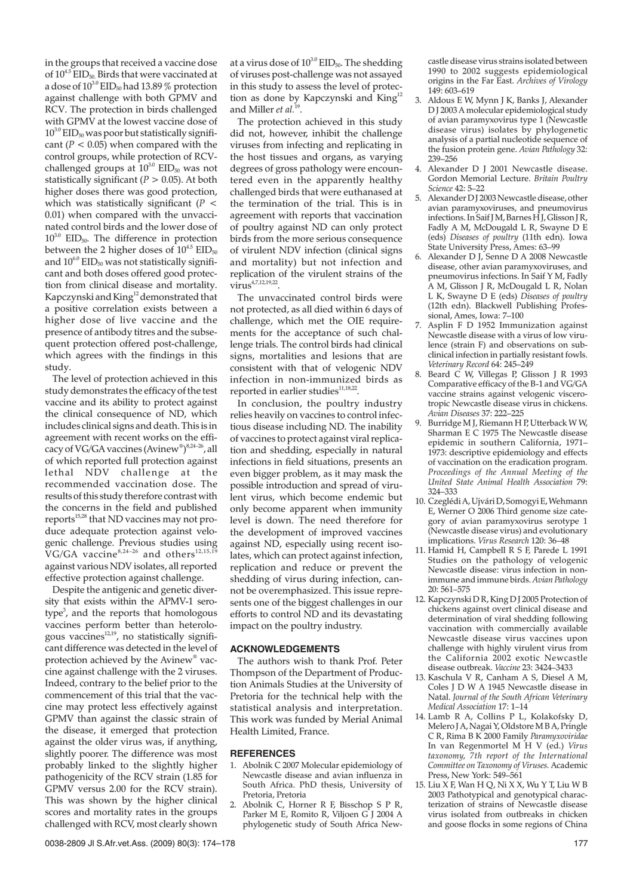in the groups that received a vaccine dose of  $10^{4.5}$  EID<sub>50</sub>. Birds that were vaccinated at a dose of  $10^{3.0}$  EID<sub>50</sub> had 13.89 % protection against challenge with both GPMV and RCV. The protection in birds challenged with GPMV at the lowest vaccine dose of  $10^{3.0}$  EID<sub>50</sub> was poor but statistically significant ( $P < 0.05$ ) when compared with the control groups, while protection of RCVchallenged groups at  $10^{3.0}$  EID<sub>50</sub> was not statistically significant ( $P > 0.05$ ). At both higher doses there was good protection, which was statistically significant (*P* < 0.01) when compared with the unvaccinated control birds and the lower dose of  $10^{3.0}$  EID<sub>50</sub>. The difference in protection between the 2 higher doses of  $10^{4.5}$  EID<sub>50</sub> and  $10^{6.0}$  EID<sub>50</sub> was not statistically significant and both doses offered good protection from clinical disease and mortality. Kapczynski and King<sup>12</sup> demonstrated that a positive correlation exists between a higher dose of live vaccine and the presence of antibody titres and the subsequent protection offered post-challenge, which agrees with the findings in this study.

The level of protection achieved in this study demonstrates the efficacy of the test vaccine and its ability to protect against the clinical consequence of ND, which includes clinical signs and death. This is in agreement with recent works on the efficacy of VG/GA vaccines (Avinew®)<sup>8,24-26</sup>, all of which reported full protection against lethal NDV challenge at the recommended vaccination dose. The results of this study therefore contrast with the concerns in the field and published reports<sup>15,28</sup> that ND vaccines may not produce adequate protection against velogenic challenge. Previous studies using  $\rm{VG/GA}$  vaccine<sup>8,24-26</sup> and others<sup>12,15,19</sup> against various NDV isolates, all reported effective protection against challenge.

Despite the antigenic and genetic diversity that exists within the APMV-1 serotype<sup>3</sup>, and the reports that homologous vaccines perform better than heterologous vaccines<sup>12,19</sup>, no statistically significant difference was detected in the level of protection achieved by the Avinew® vaccine against challenge with the 2 viruses. Indeed, contrary to the belief prior to the commencement of this trial that the vaccine may protect less effectively against GPMV than against the classic strain of the disease, it emerged that protection against the older virus was, if anything, slightly poorer. The difference was most probably linked to the slightly higher pathogenicity of the RCV strain (1.85 for GPMV versus 2.00 for the RCV strain). This was shown by the higher clinical scores and mortality rates in the groups challenged with RCV, most clearly shown

at a virus dose of  $10^{3.0}$  EID<sub>50</sub>. The shedding of viruses post-challenge was not assayed in this study to assess the level of protection as done by Kapczynski and King<sup>12</sup> and Miller *et al.*<sup>19</sup>.

The protection achieved in this study did not, however, inhibit the challenge viruses from infecting and replicating in the host tissues and organs, as varying degrees of gross pathology were encountered even in the apparently healthy challenged birds that were euthanased at the termination of the trial. This is in agreement with reports that vaccination of poultry against ND can only protect birds from the more serious consequence of virulent NDV infection (clinical signs and mortality) but not infection and replication of the virulent strains of the virus<sup>4,7,12,19,22</sup>

The unvaccinated control birds were not protected, as all died within 6 days of challenge, which met the OIE requirements for the acceptance of such challenge trials. The control birds had clinical signs, mortalities and lesions that are consistent with that of velogenic NDV infection in non-immunized birds as reported in earlier studies<sup>11,18,22</sup>

In conclusion, the poultry industry relies heavily on vaccines to control infectious disease including ND. The inability of vaccines to protect against viral replication and shedding, especially in natural infections in field situations, presents an even bigger problem, as it may mask the possible introduction and spread of virulent virus, which become endemic but only become apparent when immunity level is down. The need therefore for the development of improved vaccines against ND, especially using recent isolates, which can protect against infection, replication and reduce or prevent the shedding of virus during infection, cannot be overemphasized. This issue represents one of the biggest challenges in our efforts to control ND and its devastating impact on the poultry industry.

## **ACKNOWLEDGEMENTS**

The authors wish to thank Prof. Peter Thompson of the Department of Production Animals Studies at the University of Pretoria for the technical help with the statistical analysis and interpretation. This work was funded by Merial Animal Health Limited, France.

#### **REFERENCES**

- 1. Abolnik C 2007 Molecular epidemiology of Newcastle disease and avian influenza in South Africa. PhD thesis, University of Pretoria, Pretoria
- 2. Abolnik C, Horner R F, Bisschop S P R, Parker M E, Romito R, Viljoen G J 2004 A phylogenetic study of South Africa New-

castle disease virus strains isolated between 1990 to 2002 suggests epidemiological origins in the Far East. *Archives of Virology* 149: 603–619

- 3. Aldous E W, Mynn J K, Banks J, Alexander D J 2003 A molecular epidemiological study of avian paramyxovirus type 1 (Newcastle disease virus) isolates by phylogenetic analysis of a partial nucleotide sequence of the fusion protein gene. *Avian Pathology* 32: 239–256
- 4. Alexander D J 2001 Newcastle disease. Gordon Memorial Lecture. *Britain Poultry Science* 42: 5–22
- 5. Alexander D J 2003 Newcastle disease, other avian paramyxoviruses, and pneumovirus infections. In Saif J M, Barnes H J, Glisson J R, Fadly A M, McDougald L R, Swayne D E (eds) *Diseases of poultry* (11th edn). Iowa State University Press, Ames: 63–99
- 6. Alexander D J, Senne D A 2008 Newcastle disease, other avian paramyxoviruses, and pneumovirus infections. In Saif Y M, Fadly A M, Glisson J R, McDougald L R, Nolan L K, Swayne D E (eds) *Diseases of poultry* (12th edn). Blackwell Publishing Professional, Ames, Iowa: 7–100
- 7. Asplin F D 1952 Immunization against Newcastle disease with a virus of low virulence (strain F) and observations on subclinical infection in partially resistant fowls. *Veterinary Record* 64: 245–249
- Beard C W, Villegas P, Glisson J R 1993 Comparative efficacy of the B-1 and VG/GA vaccine strains against velogenic viscerotropic Newcastle disease virus in chickens. *Avian Diseases* 37: 222–225
- 9. Burridge M J, Riemann H P, Utterback W W, Sharman E C 1975 The Newcastle disease epidemic in southern California, 1971– 1973: descriptive epidemiology and effects of vaccination on the eradication program. *Proceedings of the Annual Meeting of the United State Animal Health Association* 79: 324–333
- 10. Czeglédi A, Ujvári D, Somogyi E, Wehmann E, Werner O 2006 Third genome size category of avian paramyxovirus serotype 1 (Newcastle disease virus) and evolutionary implications. *Virus Research* 120: 36–48
- 11. Hamid H, Campbell R S F, Parede L 1991 Studies on the pathology of velogenic Newcastle disease: virus infection in nonimmune and immune birds.*Avian Pathology* 20: 561–575
- 12. Kapczynski D R, King D J 2005 Protection of chickens against overt clinical disease and determination of viral shedding following vaccination with commercially available Newcastle disease virus vaccines upon challenge with highly virulent virus from the California 2002 exotic Newcastle disease outbreak. *Vaccine* 23: 3424–3433
- 13. Kaschula V R, Canham A S, Diesel A M, Coles JDWA 1945 Newcastle disease in Natal. *Journal of the South African Veterinary Medical Association* 17: 1–14
- 14. Lamb R A, Collins P L, Kolakofsky D, Melero J A, Nagai Y, Oldstore M B A, Pringle C R, Rima B K 2000 Family *Paramyxoviridae* In van Regenmortel MH V (ed.) Virus *taxonomy, 7th report of the International Committee on Taxonomy of Viruses.* Academic Press, New York: 549–561
- 15. Liu X F, Wan H Q, Ni X X, Wu Y T, Liu W B 2003 Pathotypical and genotypical characterization of strains of Newcastle disease virus isolated from outbreaks in chicken and goose flocks in some regions of China